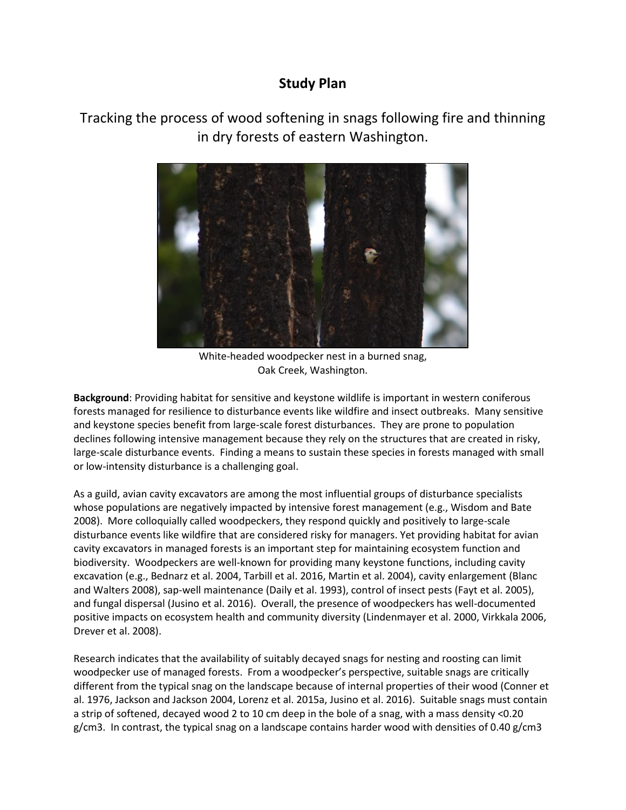# **Study Plan**

Tracking the process of wood softening in snags following fire and thinning in dry forests of eastern Washington.



White-headed woodpecker nest in a burned snag, Oak Creek, Washington.

**Background**: Providing habitat for sensitive and keystone wildlife is important in western coniferous forests managed for resilience to disturbance events like wildfire and insect outbreaks. Many sensitive and keystone species benefit from large-scale forest disturbances. They are prone to population declines following intensive management because they rely on the structures that are created in risky, large-scale disturbance events. Finding a means to sustain these species in forests managed with small or low-intensity disturbance is a challenging goal.

As a guild, avian cavity excavators are among the most influential groups of disturbance specialists whose populations are negatively impacted by intensive forest management (e.g., Wisdom and Bate 2008). More colloquially called woodpeckers, they respond quickly and positively to large-scale disturbance events like wildfire that are considered risky for managers. Yet providing habitat for avian cavity excavators in managed forests is an important step for maintaining ecosystem function and biodiversity. Woodpeckers are well-known for providing many keystone functions, including cavity excavation (e.g., Bednarz et al. 2004, Tarbill et al. 2016, Martin et al. 2004), cavity enlargement (Blanc and Walters 2008), sap-well maintenance (Daily et al. 1993), control of insect pests (Fayt et al. 2005), and fungal dispersal (Jusino et al. 2016). Overall, the presence of woodpeckers has well-documented positive impacts on ecosystem health and community diversity (Lindenmayer et al. 2000, Virkkala 2006, Drever et al. 2008).

Research indicates that the availability of suitably decayed snags for nesting and roosting can limit woodpecker use of managed forests. From a woodpecker's perspective, suitable snags are critically different from the typical snag on the landscape because of internal properties of their wood (Conner et al. 1976, Jackson and Jackson 2004, Lorenz et al. 2015a, Jusino et al. 2016). Suitable snags must contain a strip of softened, decayed wood 2 to 10 cm deep in the bole of a snag, with a mass density <0.20 g/cm3. In contrast, the typical snag on a landscape contains harder wood with densities of 0.40 g/cm3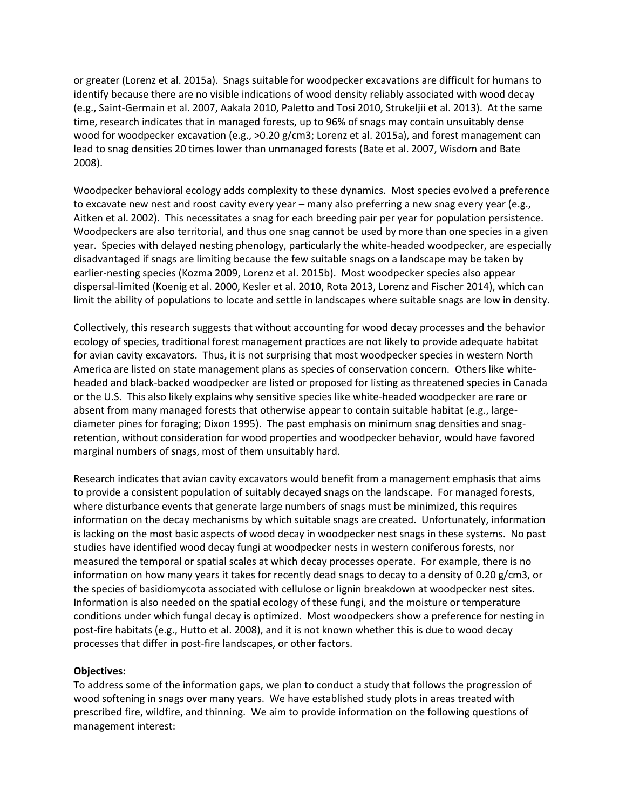or greater (Lorenz et al. 2015a). Snags suitable for woodpecker excavations are difficult for humans to identify because there are no visible indications of wood density reliably associated with wood decay (e.g., Saint-Germain et al. 2007, Aakala 2010, Paletto and Tosi 2010, Strukeljii et al. 2013). At the same time, research indicates that in managed forests, up to 96% of snags may contain unsuitably dense wood for woodpecker excavation (e.g., >0.20 g/cm3; Lorenz et al. 2015a), and forest management can lead to snag densities 20 times lower than unmanaged forests (Bate et al. 2007, Wisdom and Bate 2008).

Woodpecker behavioral ecology adds complexity to these dynamics. Most species evolved a preference to excavate new nest and roost cavity every year – many also preferring a new snag every year (e.g., Aitken et al. 2002). This necessitates a snag for each breeding pair per year for population persistence. Woodpeckers are also territorial, and thus one snag cannot be used by more than one species in a given year. Species with delayed nesting phenology, particularly the white-headed woodpecker, are especially disadvantaged if snags are limiting because the few suitable snags on a landscape may be taken by earlier-nesting species (Kozma 2009, Lorenz et al. 2015b). Most woodpecker species also appear dispersal-limited (Koenig et al. 2000, Kesler et al. 2010, Rota 2013, Lorenz and Fischer 2014), which can limit the ability of populations to locate and settle in landscapes where suitable snags are low in density.

Collectively, this research suggests that without accounting for wood decay processes and the behavior ecology of species, traditional forest management practices are not likely to provide adequate habitat for avian cavity excavators. Thus, it is not surprising that most woodpecker species in western North America are listed on state management plans as species of conservation concern. Others like whiteheaded and black-backed woodpecker are listed or proposed for listing as threatened species in Canada or the U.S. This also likely explains why sensitive species like white-headed woodpecker are rare or absent from many managed forests that otherwise appear to contain suitable habitat (e.g., largediameter pines for foraging; Dixon 1995). The past emphasis on minimum snag densities and snagretention, without consideration for wood properties and woodpecker behavior, would have favored marginal numbers of snags, most of them unsuitably hard.

Research indicates that avian cavity excavators would benefit from a management emphasis that aims to provide a consistent population of suitably decayed snags on the landscape. For managed forests, where disturbance events that generate large numbers of snags must be minimized, this requires information on the decay mechanisms by which suitable snags are created. Unfortunately, information is lacking on the most basic aspects of wood decay in woodpecker nest snags in these systems. No past studies have identified wood decay fungi at woodpecker nests in western coniferous forests, nor measured the temporal or spatial scales at which decay processes operate. For example, there is no information on how many years it takes for recently dead snags to decay to a density of 0.20 g/cm3, or the species of basidiomycota associated with cellulose or lignin breakdown at woodpecker nest sites. Information is also needed on the spatial ecology of these fungi, and the moisture or temperature conditions under which fungal decay is optimized. Most woodpeckers show a preference for nesting in post-fire habitats (e.g., Hutto et al. 2008), and it is not known whether this is due to wood decay processes that differ in post-fire landscapes, or other factors.

#### **Objectives:**

To address some of the information gaps, we plan to conduct a study that follows the progression of wood softening in snags over many years. We have established study plots in areas treated with prescribed fire, wildfire, and thinning. We aim to provide information on the following questions of management interest: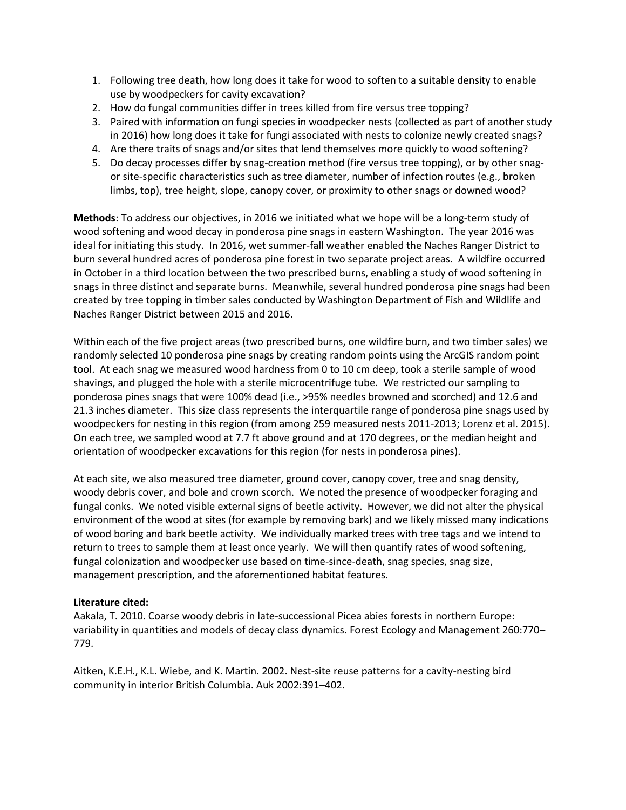- 1. Following tree death, how long does it take for wood to soften to a suitable density to enable use by woodpeckers for cavity excavation?
- 2. How do fungal communities differ in trees killed from fire versus tree topping?
- 3. Paired with information on fungi species in woodpecker nests (collected as part of another study in 2016) how long does it take for fungi associated with nests to colonize newly created snags?
- 4. Are there traits of snags and/or sites that lend themselves more quickly to wood softening?
- 5. Do decay processes differ by snag-creation method (fire versus tree topping), or by other snagor site-specific characteristics such as tree diameter, number of infection routes (e.g., broken limbs, top), tree height, slope, canopy cover, or proximity to other snags or downed wood?

**Methods**: To address our objectives, in 2016 we initiated what we hope will be a long-term study of wood softening and wood decay in ponderosa pine snags in eastern Washington. The year 2016 was ideal for initiating this study. In 2016, wet summer-fall weather enabled the Naches Ranger District to burn several hundred acres of ponderosa pine forest in two separate project areas. A wildfire occurred in October in a third location between the two prescribed burns, enabling a study of wood softening in snags in three distinct and separate burns. Meanwhile, several hundred ponderosa pine snags had been created by tree topping in timber sales conducted by Washington Department of Fish and Wildlife and Naches Ranger District between 2015 and 2016.

Within each of the five project areas (two prescribed burns, one wildfire burn, and two timber sales) we randomly selected 10 ponderosa pine snags by creating random points using the ArcGIS random point tool. At each snag we measured wood hardness from 0 to 10 cm deep, took a sterile sample of wood shavings, and plugged the hole with a sterile microcentrifuge tube. We restricted our sampling to ponderosa pines snags that were 100% dead (i.e., >95% needles browned and scorched) and 12.6 and 21.3 inches diameter. This size class represents the interquartile range of ponderosa pine snags used by woodpeckers for nesting in this region (from among 259 measured nests 2011-2013; Lorenz et al. 2015). On each tree, we sampled wood at 7.7 ft above ground and at 170 degrees, or the median height and orientation of woodpecker excavations for this region (for nests in ponderosa pines).

At each site, we also measured tree diameter, ground cover, canopy cover, tree and snag density, woody debris cover, and bole and crown scorch. We noted the presence of woodpecker foraging and fungal conks. We noted visible external signs of beetle activity. However, we did not alter the physical environment of the wood at sites (for example by removing bark) and we likely missed many indications of wood boring and bark beetle activity. We individually marked trees with tree tags and we intend to return to trees to sample them at least once yearly. We will then quantify rates of wood softening, fungal colonization and woodpecker use based on time-since-death, snag species, snag size, management prescription, and the aforementioned habitat features.

## **Literature cited:**

Aakala, T. 2010. Coarse woody debris in late-successional Picea abies forests in northern Europe: variability in quantities and models of decay class dynamics. Forest Ecology and Management 260:770– 779.

Aitken, K.E.H., K.L. Wiebe, and K. Martin. 2002. Nest-site reuse patterns for a cavity-nesting bird community in interior British Columbia. Auk 2002:391–402.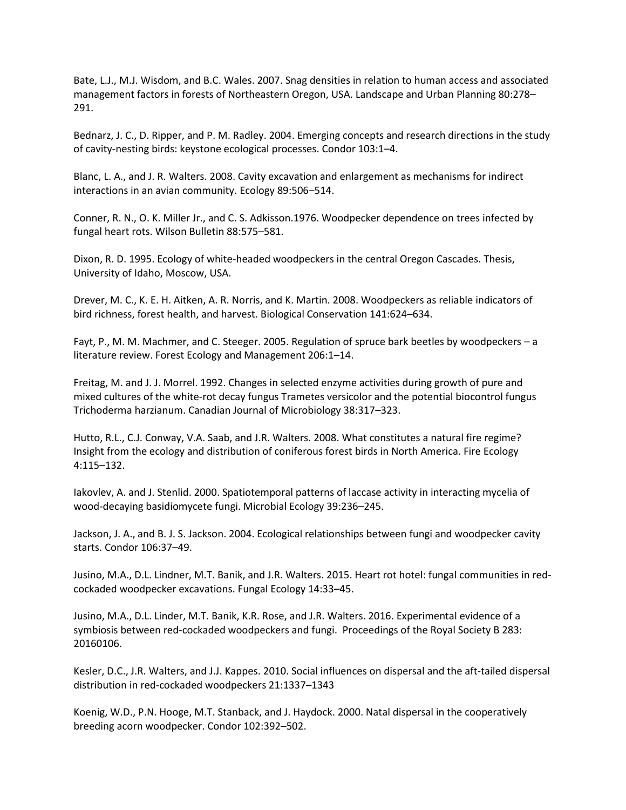Bate, L.J., M.J. Wisdom, and B.C. Wales. 2007. Snag densities in relation to human access and associated management factors in forests of Northeastern Oregon, USA. Landscape and Urban Planning 80:278– 291.

Bednarz, J. C., D. Ripper, and P. M. Radley. 2004. Emerging concepts and research directions in the study of cavity-nesting birds: keystone ecological processes. Condor 103:1–4.

Blanc, L. A., and J. R. Walters. 2008. Cavity excavation and enlargement as mechanisms for indirect interactions in an avian community. Ecology 89:506–514.

Conner, R. N., O. K. Miller Jr., and C. S. Adkisson.1976. Woodpecker dependence on trees infected by fungal heart rots. Wilson Bulletin 88:575–581.

Dixon, R. D. 1995. Ecology of white-headed woodpeckers in the central Oregon Cascades. Thesis, University of Idaho, Moscow, USA.

Drever, M. C., K. E. H. Aitken, A. R. Norris, and K. Martin. 2008. Woodpeckers as reliable indicators of bird richness, forest health, and harvest. Biological Conservation 141:624–634.

Fayt, P., M. M. Machmer, and C. Steeger. 2005. Regulation of spruce bark beetles by woodpeckers – a literature review. Forest Ecology and Management 206:1–14.

Freitag, M. and J. J. Morrel. 1992. Changes in selected enzyme activities during growth of pure and mixed cultures of the white-rot decay fungus Trametes versicolor and the potential biocontrol fungus Trichoderma harzianum. Canadian Journal of Microbiology 38:317–323.

Hutto, R.L., C.J. Conway, V.A. Saab, and J.R. Walters. 2008. What constitutes a natural fire regime? Insight from the ecology and distribution of coniferous forest birds in North America. Fire Ecology 4:115–132.

Iakovlev, A. and J. Stenlid. 2000. Spatiotemporal patterns of laccase activity in interacting mycelia of wood-decaying basidiomycete fungi. Microbial Ecology 39:236–245.

Jackson, J. A., and B. J. S. Jackson. 2004. Ecological relationships between fungi and woodpecker cavity starts. Condor 106:37–49.

Jusino, M.A., D.L. Lindner, M.T. Banik, and J.R. Walters. 2015. Heart rot hotel: fungal communities in redcockaded woodpecker excavations. Fungal Ecology 14:33–45.

Jusino, M.A., D.L. Linder, M.T. Banik, K.R. Rose, and J.R. Walters. 2016. Experimental evidence of a symbiosis between red-cockaded woodpeckers and fungi. Proceedings of the Royal Society B 283: 20160106.

Kesler, D.C., J.R. Walters, and J.J. Kappes. 2010. Social influences on dispersal and the aft-tailed dispersal distribution in red-cockaded woodpeckers 21:1337–1343

Koenig, W.D., P.N. Hooge, M.T. Stanback, and J. Haydock. 2000. Natal dispersal in the cooperatively breeding acorn woodpecker. Condor 102:392–502.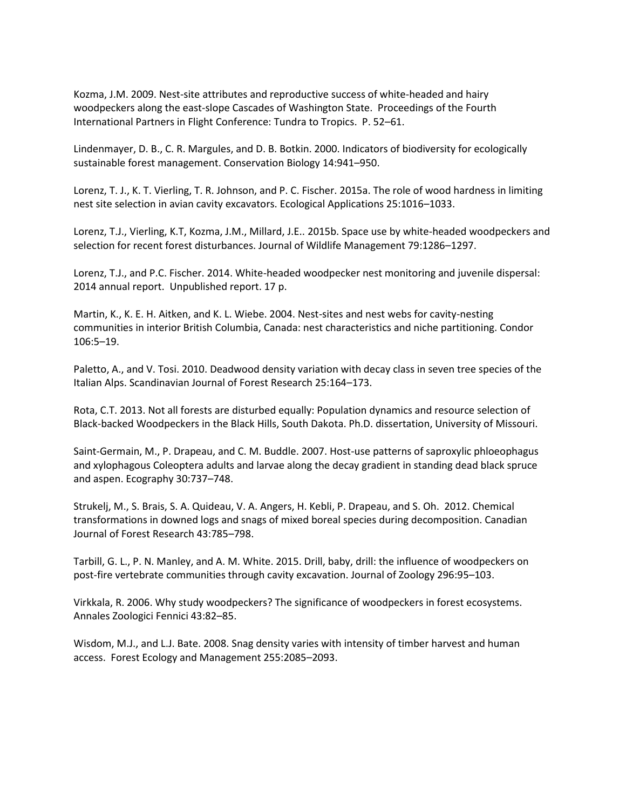Kozma, J.M. 2009. Nest-site attributes and reproductive success of white-headed and hairy woodpeckers along the east-slope Cascades of Washington State. Proceedings of the Fourth International Partners in Flight Conference: Tundra to Tropics. P. 52–61.

Lindenmayer, D. B., C. R. Margules, and D. B. Botkin. 2000. Indicators of biodiversity for ecologically sustainable forest management. Conservation Biology 14:941–950.

Lorenz, T. J., K. T. Vierling, T. R. Johnson, and P. C. Fischer. 2015a. The role of wood hardness in limiting nest site selection in avian cavity excavators. Ecological Applications 25:1016–1033.

Lorenz, T.J., Vierling, K.T, Kozma, J.M., Millard, J.E.. 2015b. Space use by white-headed woodpeckers and selection for recent forest disturbances. Journal of Wildlife Management 79:1286–1297.

Lorenz, T.J., and P.C. Fischer. 2014. White-headed woodpecker nest monitoring and juvenile dispersal: 2014 annual report. Unpublished report. 17 p.

Martin, K., K. E. H. Aitken, and K. L. Wiebe. 2004. Nest-sites and nest webs for cavity-nesting communities in interior British Columbia, Canada: nest characteristics and niche partitioning. Condor 106:5–19.

Paletto, A., and V. Tosi. 2010. Deadwood density variation with decay class in seven tree species of the Italian Alps. Scandinavian Journal of Forest Research 25:164–173.

Rota, C.T. 2013. Not all forests are disturbed equally: Population dynamics and resource selection of Black-backed Woodpeckers in the Black Hills, South Dakota. Ph.D. dissertation, University of Missouri.

Saint-Germain, M., P. Drapeau, and C. M. Buddle. 2007. Host-use patterns of saproxylic phloeophagus and xylophagous Coleoptera adults and larvae along the decay gradient in standing dead black spruce and aspen. Ecography 30:737–748.

Strukelj, M., S. Brais, S. A. Quideau, V. A. Angers, H. Kebli, P. Drapeau, and S. Oh. 2012. Chemical transformations in downed logs and snags of mixed boreal species during decomposition. Canadian Journal of Forest Research 43:785–798.

Tarbill, G. L., P. N. Manley, and A. M. White. 2015. Drill, baby, drill: the influence of woodpeckers on post-fire vertebrate communities through cavity excavation. Journal of Zoology 296:95–103.

Virkkala, R. 2006. Why study woodpeckers? The significance of woodpeckers in forest ecosystems. Annales Zoologici Fennici 43:82–85.

Wisdom, M.J., and L.J. Bate. 2008. Snag density varies with intensity of timber harvest and human access. Forest Ecology and Management 255:2085–2093.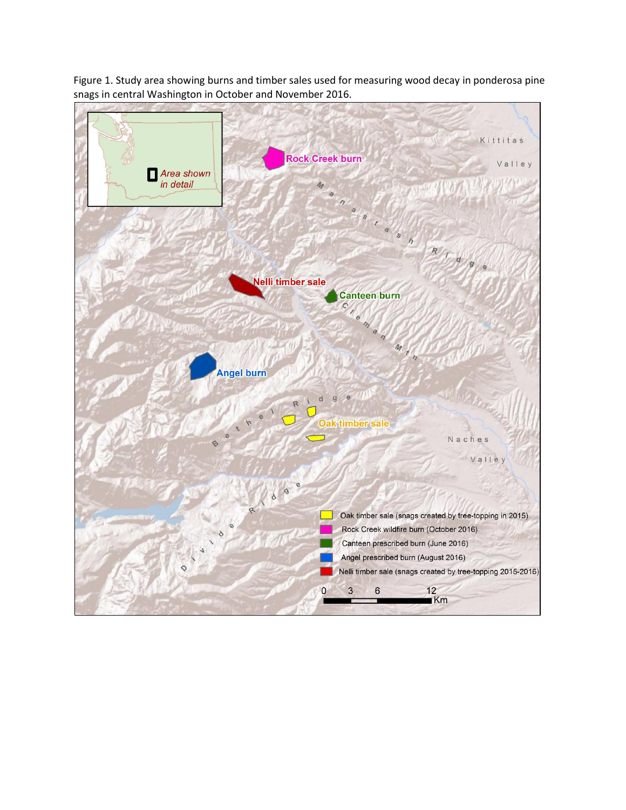

Figure 1. Study area showing burns and timber sales used for measuring wood decay in ponderosa pine snags in central Washington in October and November 2016.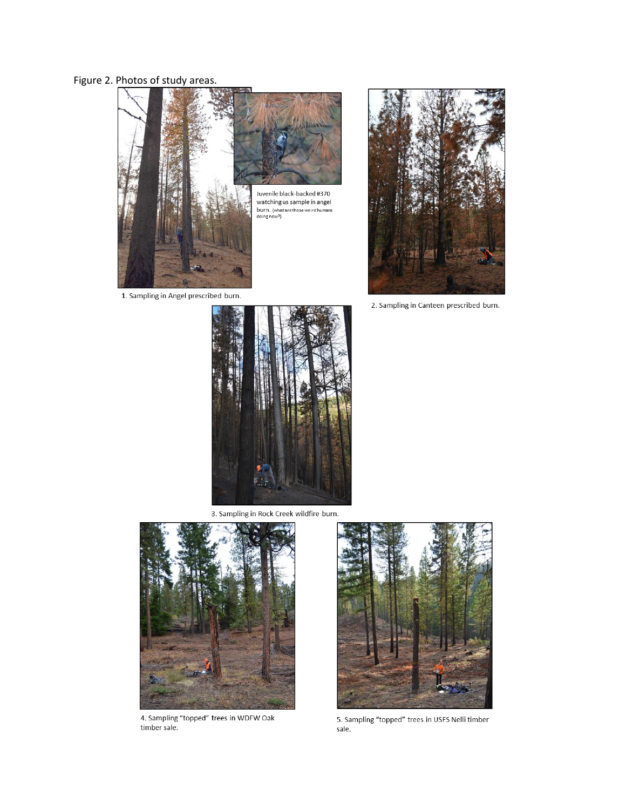# Figure 2. Photos of study areas.



1. Sampling in Angel prescribed burn.



2. Sampling in Canteen prescribed burn.



3. Sampling in Rock Creek wildfire burn.



4. Sampling "topped" trees in WDFW Oak<br>timber sale.



5. Sampling "topped" trees in USFS Nelli timber sale.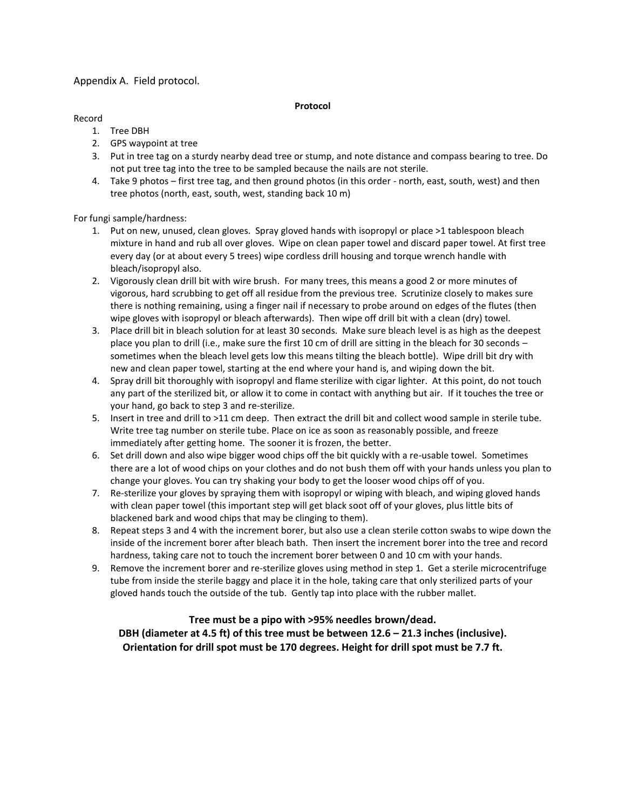### Appendix A. Field protocol.

#### **Protocol**

#### Record

- 1. Tree DBH
- 2. GPS waypoint at tree
- 3. Put in tree tag on a sturdy nearby dead tree or stump, and note distance and compass bearing to tree. Do not put tree tag into the tree to be sampled because the nails are not sterile.
- 4. Take 9 photos first tree tag, and then ground photos (in this order north, east, south, west) and then tree photos (north, east, south, west, standing back 10 m)

For fungi sample/hardness:

- 1. Put on new, unused, clean gloves. Spray gloved hands with isopropyl or place >1 tablespoon bleach mixture in hand and rub all over gloves. Wipe on clean paper towel and discard paper towel. At first tree every day (or at about every 5 trees) wipe cordless drill housing and torque wrench handle with bleach/isopropyl also.
- 2. Vigorously clean drill bit with wire brush. For many trees, this means a good 2 or more minutes of vigorous, hard scrubbing to get off all residue from the previous tree. Scrutinize closely to makes sure there is nothing remaining, using a finger nail if necessary to probe around on edges of the flutes (then wipe gloves with isopropyl or bleach afterwards). Then wipe off drill bit with a clean (dry) towel.
- 3. Place drill bit in bleach solution for at least 30 seconds. Make sure bleach level is as high as the deepest place you plan to drill (i.e., make sure the first 10 cm of drill are sitting in the bleach for 30 seconds – sometimes when the bleach level gets low this means tilting the bleach bottle). Wipe drill bit dry with new and clean paper towel, starting at the end where your hand is, and wiping down the bit.
- 4. Spray drill bit thoroughly with isopropyl and flame sterilize with cigar lighter. At this point, do not touch any part of the sterilized bit, or allow it to come in contact with anything but air. If it touches the tree or your hand, go back to step 3 and re-sterilize.
- 5. Insert in tree and drill to >11 cm deep. Then extract the drill bit and collect wood sample in sterile tube. Write tree tag number on sterile tube. Place on ice as soon as reasonably possible, and freeze immediately after getting home. The sooner it is frozen, the better.
- 6. Set drill down and also wipe bigger wood chips off the bit quickly with a re-usable towel. Sometimes there are a lot of wood chips on your clothes and do not bush them off with your hands unless you plan to change your gloves. You can try shaking your body to get the looser wood chips off of you.
- 7. Re-sterilize your gloves by spraying them with isopropyl or wiping with bleach, and wiping gloved hands with clean paper towel (this important step will get black soot off of your gloves, plus little bits of blackened bark and wood chips that may be clinging to them).
- 8. Repeat steps 3 and 4 with the increment borer, but also use a clean sterile cotton swabs to wipe down the inside of the increment borer after bleach bath. Then insert the increment borer into the tree and record hardness, taking care not to touch the increment borer between 0 and 10 cm with your hands.
- 9. Remove the increment borer and re-sterilize gloves using method in step 1. Get a sterile microcentrifuge tube from inside the sterile baggy and place it in the hole, taking care that only sterilized parts of your gloved hands touch the outside of the tub. Gently tap into place with the rubber mallet.

## **Tree must be a pipo with >95% needles brown/dead. DBH (diameter at 4.5 ft) of this tree must be between 12.6 – 21.3 inches (inclusive). Orientation for drill spot must be 170 degrees. Height for drill spot must be 7.7 ft.**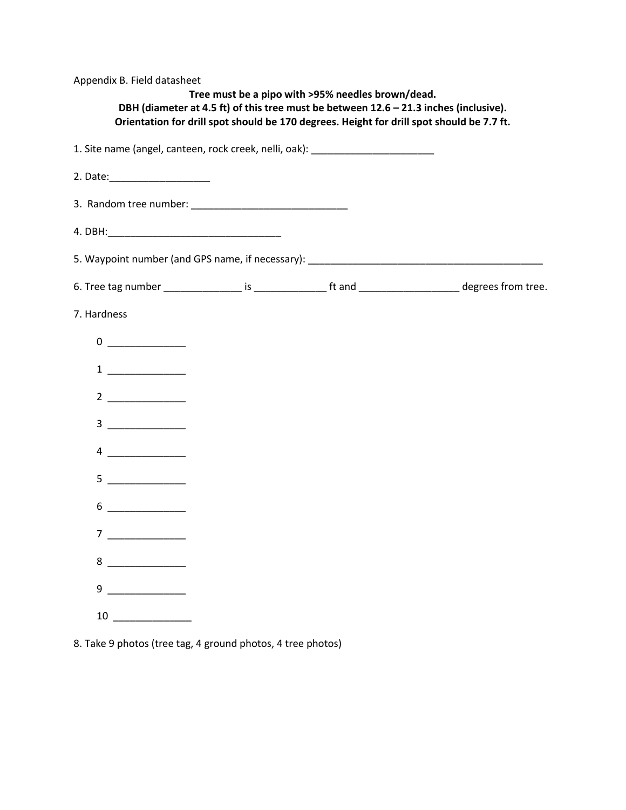| Appendix B. Field datasheet                                                                                                                                                                                                                                                                                                                                    | Tree must be a pipo with >95% needles brown/dead.<br>DBH (diameter at 4.5 ft) of this tree must be between 12.6 - 21.3 inches (inclusive).<br>Orientation for drill spot should be 170 degrees. Height for drill spot should be 7.7 ft. |  |
|----------------------------------------------------------------------------------------------------------------------------------------------------------------------------------------------------------------------------------------------------------------------------------------------------------------------------------------------------------------|-----------------------------------------------------------------------------------------------------------------------------------------------------------------------------------------------------------------------------------------|--|
| 1. Site name (angel, canteen, rock creek, nelli, oak): _________________________                                                                                                                                                                                                                                                                               |                                                                                                                                                                                                                                         |  |
|                                                                                                                                                                                                                                                                                                                                                                |                                                                                                                                                                                                                                         |  |
|                                                                                                                                                                                                                                                                                                                                                                |                                                                                                                                                                                                                                         |  |
|                                                                                                                                                                                                                                                                                                                                                                |                                                                                                                                                                                                                                         |  |
|                                                                                                                                                                                                                                                                                                                                                                |                                                                                                                                                                                                                                         |  |
|                                                                                                                                                                                                                                                                                                                                                                |                                                                                                                                                                                                                                         |  |
| 7. Hardness                                                                                                                                                                                                                                                                                                                                                    |                                                                                                                                                                                                                                         |  |
|                                                                                                                                                                                                                                                                                                                                                                |                                                                                                                                                                                                                                         |  |
| $\begin{tabular}{c} 1 & \textcolor{red}{\textbf{---}} & \textcolor{red}{\textbf{---}} \\ \end{tabular}$                                                                                                                                                                                                                                                        |                                                                                                                                                                                                                                         |  |
| $2 \overline{\phantom{a}}$                                                                                                                                                                                                                                                                                                                                     |                                                                                                                                                                                                                                         |  |
|                                                                                                                                                                                                                                                                                                                                                                |                                                                                                                                                                                                                                         |  |
| $4 \qquad \qquad$                                                                                                                                                                                                                                                                                                                                              |                                                                                                                                                                                                                                         |  |
| 5                                                                                                                                                                                                                                                                                                                                                              |                                                                                                                                                                                                                                         |  |
| 6                                                                                                                                                                                                                                                                                                                                                              |                                                                                                                                                                                                                                         |  |
| $\overline{7}$                                                                                                                                                                                                                                                                                                                                                 |                                                                                                                                                                                                                                         |  |
| $8 \begin{tabular}{l} \multicolumn{1}{c} {\textbf{8}} \\ \end{tabular}$                                                                                                                                                                                                                                                                                        |                                                                                                                                                                                                                                         |  |
| $9 \begin{tabular}{@{}c@{}} \hline \rule{0.2cm}{0.2cm} \rule{0.2cm}{0.2cm} \rule{0.2cm}{0.2cm} \rule{0.2cm}{0.2cm} \rule{0.2cm}{0.2cm} \rule{0.2cm}{0.2cm} \rule{0.2cm}{0.2cm} \rule{0.2cm}{0.2cm} \rule{0.2cm}{0.2cm} \rule{0.2cm}{0.2cm} \rule{0.2cm}{0.2cm} \rule{0.2cm}{0.2cm} \rule{0.2cm}{0.2cm} \rule{0.2cm}{0.2cm} \rule{0.2cm}{0.2cm} \rule{0.2cm}{0$ |                                                                                                                                                                                                                                         |  |
| 10                                                                                                                                                                                                                                                                                                                                                             |                                                                                                                                                                                                                                         |  |

8. Take 9 photos (tree tag, 4 ground photos, 4 tree photos)